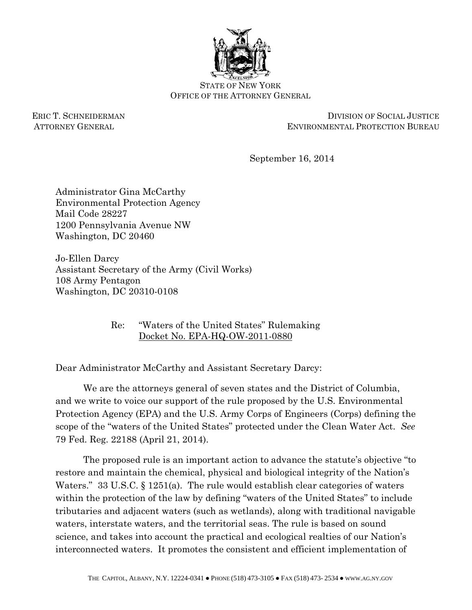

STATE OF NEW YORK OFFICE OF THE ATTORNEY GENERAL

ERIC T. SCHNEIDERMAN DIVISION OF SOCIAL JUSTICE ATTORNEY GENERAL ENVIRONMENTAL PROTECTION BUREAU

September 16, 2014

Administrator Gina McCarthy Environmental Protection Agency Mail Code 28227 1200 Pennsylvania Avenue NW Washington, DC 20460

Jo-Ellen Darcy Assistant Secretary of the Army (Civil Works) 108 Army Pentagon Washington, DC 20310-0108

> Re: "Waters of the United States" Rulemaking Docket No. EPA-HQ-OW-2011-0880

Dear Administrator McCarthy and Assistant Secretary Darcy:

We are the attorneys general of seven states and the District of Columbia, and we write to voice our support of the rule proposed by the U.S. Environmental Protection Agency (EPA) and the U.S. Army Corps of Engineers (Corps) defining the scope of the "waters of the United States" protected under the Clean Water Act. *See*  79 Fed. Reg. 22188 (April 21, 2014).

The proposed rule is an important action to advance the statute's objective "to restore and maintain the chemical, physical and biological integrity of the Nation's Waters." 33 U.S.C. § 1251(a). The rule would establish clear categories of waters within the protection of the law by defining "waters of the United States" to include tributaries and adjacent waters (such as wetlands), along with traditional navigable waters, interstate waters, and the territorial seas. The rule is based on sound science, and takes into account the practical and ecological realties of our Nation's interconnected waters. It promotes the consistent and efficient implementation of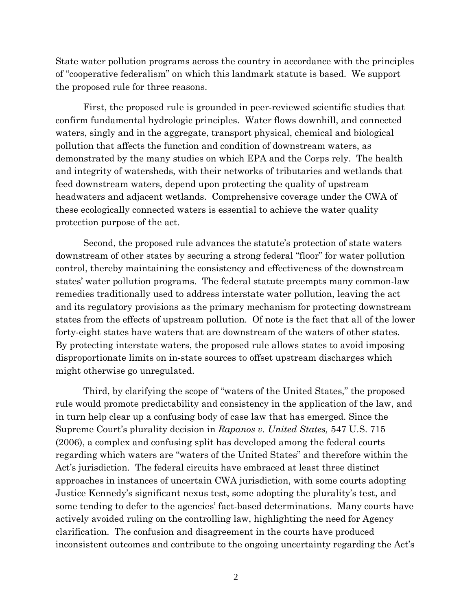State water pollution programs across the country in accordance with the principles of "cooperative federalism" on which this landmark statute is based. We support the proposed rule for three reasons.

First, the proposed rule is grounded in peer-reviewed scientific studies that confirm fundamental hydrologic principles. Water flows downhill, and connected waters, singly and in the aggregate, transport physical, chemical and biological pollution that affects the function and condition of downstream waters, as demonstrated by the many studies on which EPA and the Corps rely. The health and integrity of watersheds, with their networks of tributaries and wetlands that feed downstream waters, depend upon protecting the quality of upstream headwaters and adjacent wetlands. Comprehensive coverage under the CWA of these ecologically connected waters is essential to achieve the water quality protection purpose of the act.

Second, the proposed rule advances the statute's protection of state waters downstream of other states by securing a strong federal "floor" for water pollution control, thereby maintaining the consistency and effectiveness of the downstream states' water pollution programs. The federal statute preempts many common-law remedies traditionally used to address interstate water pollution, leaving the act and its regulatory provisions as the primary mechanism for protecting downstream states from the effects of upstream pollution. Of note is the fact that all of the lower forty-eight states have waters that are downstream of the waters of other states. By protecting interstate waters, the proposed rule allows states to avoid imposing disproportionate limits on in-state sources to offset upstream discharges which might otherwise go unregulated.

Third, by clarifying the scope of "waters of the United States," the proposed rule would promote predictability and consistency in the application of the law, and in turn help clear up a confusing body of case law that has emerged. Since the Supreme Court's plurality decision in *Rapanos v. United States,* 547 U.S. 715 (2006), a complex and confusing split has developed among the federal courts regarding which waters are "waters of the United States" and therefore within the Act's jurisdiction. The federal circuits have embraced at least three distinct approaches in instances of uncertain CWA jurisdiction, with some courts adopting Justice Kennedy's significant nexus test, some adopting the plurality's test, and some tending to defer to the agencies' fact-based determinations. Many courts have actively avoided ruling on the controlling law, highlighting the need for Agency clarification. The confusion and disagreement in the courts have produced inconsistent outcomes and contribute to the ongoing uncertainty regarding the Act's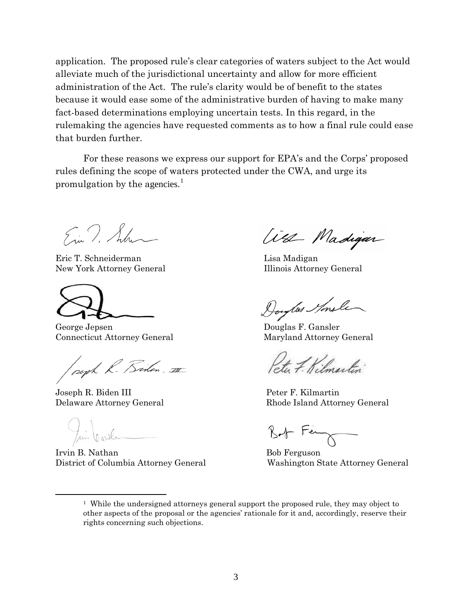application. The proposed rule's clear categories of waters subject to the Act would alleviate much of the jurisdictional uncertainty and allow for more efficient administration of the Act. The rule's clarity would be of benefit to the states because it would ease some of the administrative burden of having to make many fact-based determinations employing uncertain tests. In this regard, in the rulemaking the agencies have requested comments as to how a final rule could ease that burden further.

For these reasons we express our support for EPA's and the Corps' proposed rules defining the scope of waters protected under the CWA, and urge its promulgation by the agencies.<sup>[1](#page-2-0)</sup>

Ein T. Schun

 Eric T. Schneiderman Lisa Madigan New York Attorney General **Illinois Attorney General** 

George Jepsen Douglas F. Gansler

Connecticut Attorney General Maryland Attorney General

peoph R. Bisten, III

Joseph R. Biden III Peter F. Kilmartin

Jui Carlos Mathan Bob Ferguson

<span id="page-2-0"></span> $\overline{a}$ 

District of Columbia Attorney General Washington State Attorney General

West Madigan

to F. Kilmartin

Delaware Attorney General Rhode Island Attorney General

<sup>&</sup>lt;sup>1</sup> While the undersigned attorneys general support the proposed rule, they may object to other aspects of the proposal or the agencies' rationale for it and, accordingly, reserve their rights concerning such objections.